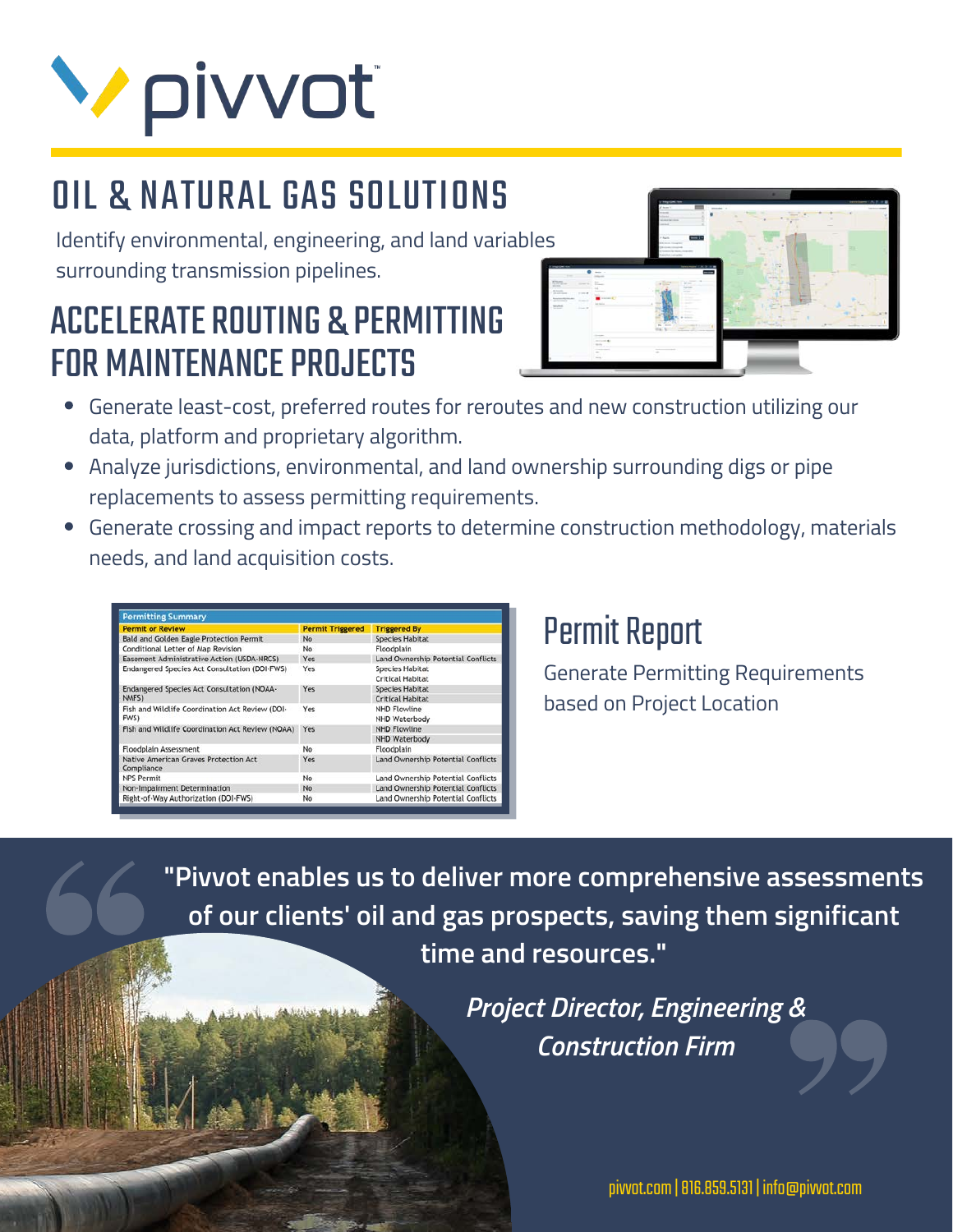# **V** pivvot

## OIL & NATURAL GAS SOLUTIONS

Identify environmental, engineering, and land variables surrounding transmission pipelines.

## ACCELERATE ROUTING & PERMITTING FOR MAINTENANCE PROJECTS



- Generate least-cost, preferred routes for reroutes and new construction utilizing our data, platform and proprietary algorithm.
- Analyze jurisdictions, environmental, and land ownership surrounding digs or pipe replacements to assess permitting requirements.
- Generate crossing and impact reports to determine construction methodology, materials needs, and land acquisition costs.

| <b>Permit or Review</b>                                 | <b>Permit Triggered</b> | <b>Triggered By</b>                               |
|---------------------------------------------------------|-------------------------|---------------------------------------------------|
| <b>Bald and Golden Eagle Protection Permit</b>          | No                      | <b>Species Habitat</b>                            |
| Conditional Letter of Map Revision                      | No                      | Floodplain                                        |
| Easement Administrative Action (USDA-NRCS)              | Yes                     | Land Ownership Potential Conflicts                |
| Endangered Species Act Consultation (DOI-FWS)           | Yes                     | <b>Species Habitat</b><br><b>Critical Habitat</b> |
| Endangered Species Act Consultation (NOAA-<br>NMFS)     | Yes                     | <b>Species Habitat</b><br><b>Critical Habitat</b> |
| Fish and Wildlife Coordination Act Review (DOI-<br>FWS) | Yes                     | <b>NHD Flowline</b><br>NHD Waterbody              |
| Fish and Wildlife Coordination Act Review (NOAA)        | Yes                     | <b>NHD Flowline</b><br>NHD Waterbody              |
| <b>Floodplain Assessment</b>                            | No                      | Floodplain                                        |
| Native American Graves Protection Act<br>Compliance     | Yes                     | Land Ownership Potential Conflicts                |
| <b>NPS Permit</b>                                       | No                      | Land Ownership Potential Conflicts                |
| Non-Impairment Determination                            | No                      | Land Ownership Potential Conflicts                |
| Right-of-Way Authorization (DOI-FWS)                    | No                      | Land Ownership Potential Conflicts                |

### Permit Report

Generate Permitting Requirements based on Project Location

**"Pivvot enables us to deliver more comprehensive assessments of our clients' oil and gas prospects, saving them significant time and resources."**

> *Project Director, Engineering & Construction Firm*